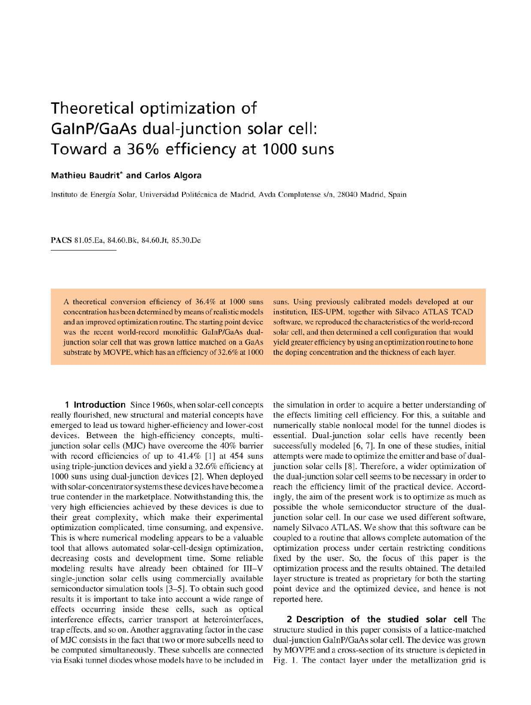## Theoretical optimization of GalnP/GaAs dual-junction solar cell: Toward a 36% efficiency at 1000 suns

## **Mathieu Baudrit\* and Carlos Algora**

Instituto de Energía Solar, Universidad Politécnica de Madrid, Avda Complutense s/n, 28040 Madrid, Spain

PACS 81.05.Ea. 84.60.Bk, 84.60.Jt, 85.30.De

A theoretical conversión efficiency of 36.4% at 1000 suns concentration has been determined by means of realistic models and an improved optimization routine. The starting point device was the recent world-record monolithic GalnP/GaAs dualjunction solar cell that was grown lattice matched on a GaAs substrate by MOVPE, which has an efficiency of 32.6% at 1000

**1 Introduction** Since 1960s, when solar-cell concepts really flourished, new structural and material concepts have emerged to lead us toward higher-efficiency and lower-cost devices. Between the high-efficiency concepts, multijunction solar cells (MJC) have overcome the 40% barrier with record efficiencies of up to 41.4% [1] at 454 suns using triple-junction devices and yield a 32.6% efficiency at 1000 suns using dual-junction devices [2]. When deployed with solar-concentrator systems these devices have become a true contender in the marketplace. Notwithstanding this, the very high efficiencies achieved by these devices is due to their great complexity, which make their experimental optimization complicated, time consuming, and expensive. This is where numerical modeling appears to be a valuable tool that allows automated solar-cell-design optimization, decreasing costs and development time. Some reliable modeling results have already been obtained for **III-V**  single-junction solar cells using commercially available semiconductor simulation tools [3-5]. To obtain such good results it is important to take into account a wide range of effects oceurring inside these cells, such as optical interference effects, carrier transport at heterointerfaces, trap effects, and so on. Another aggravating factor in the case of **MJC** consists in the fact that two or more subcells need to be computed simultaneously. These subcells are connected via Esaki tunnel diodes whose models have to be included in suns. Using previously calibrated models developed at our institution, IES-UPM, together with Silvaco ATLAS TCAD software, we reproduced the characteristics of the world-record solar cell, and then determined a cell configuration that would yield greater efficiency by using an optimization routine to hone the doping concentration and the thickness of each layer.

the simulation in order to acquire a better understanding of the effects limiting cell efficiency. For this, a suitable and numerically stable nonlocal model for the tunnel diodes is essential. Dual-junction solar cells have recently been successfully modeled [6, 7]. In one of these studies, initial attempts were made to optimize the emitter and base of dualjunction solar cells [8]. Therefore, a wider optimization of the dual-junction solar cell seems to be necessary in order to reach the efficiency limit of the practical device. Accordingly, the aim of the present work is to optimize as much as possible the whole semiconductor structure of the dualjunction solar cell. In our case we used different software, namely Silvaco ATLAS. We show that this software can be coupled to a routine that allows complete automation of the optimization process under certain restricting conditions fixed by the user. So, the focus of this paper is the optimization process and the results obtained. The detailed layer structure is treated as proprietary for both the starting point device and the optimized device, and henee is not reported here.

**2 Description of the studied solar cell The**  structure studied in this paper consists of a lattice-matched dual-junction GalnP/GaAs solar cell. The device was grown by MOVPE and a cross-section of its structure is depicted in Fig. 1. The contact layer under the metallization grid is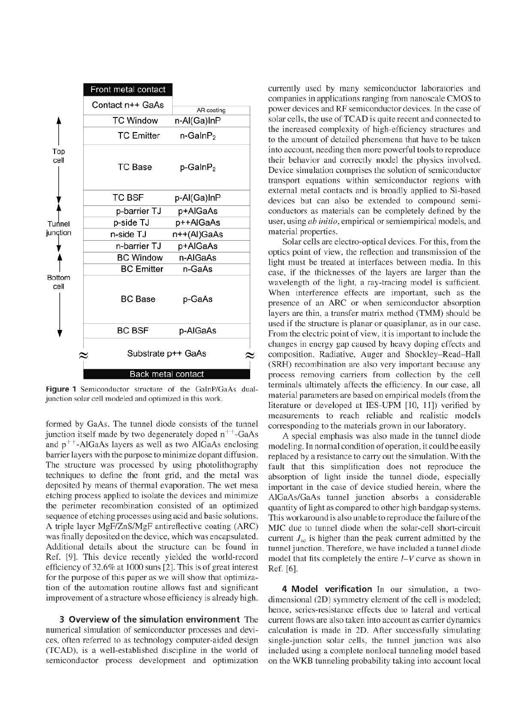

Figure 1 Semiconductor structure of the GaInP/GaAs dualjunction solar cell modeled and optimized in this work.

formed by GaAs. The tunnel diode consists of the tunnel junction itself made by two degenerately doped  $n^{++}$ -GaAs and  $p^{++}$ -AlGaAs layers as well as two AlGaAs enclosing barrier layers with the purpose to minimize dopant diffusion. The structure was processed by using photolithography techniques to define the front grid, and the metal was deposited by means of thermal evaporation. The wet mesa etching process applied to isolate the devices and minimize the perimeter recombination consisted of an optimized sequence of etching processes using acid and basic solutions. A triple layer MgF/ZnS/MgF antireflective coating (ARC) was finally deposited on the device, which was encapsulated. Additional details about the stmcture can be found in Ref. [9]. This device recently yielded the world-record efficiency of 32.6% at 1000 suns [2]. This is of great interest for the purpose of this paper as we will show that optimization of the automation routine allows fast and significant improvement of a structure whose efficiency is already high.

**3 Overview of the simulation environment** The numerical simulation of semiconductor processes and devices, often referred to as technology computer-aided design (TCAD), is a well-established discipline in the world of semiconductor process development and optimization

currently used by many semiconductor laboratories and companies in applications ranging from nanoscale CMOS to power devices and RF semiconductor devices. In the case of solar cells, the use of TCAD is quite recent and connected to the increased complexity of high-efficiency structures and to the amount of detailed phenomena that have to be taken into account, needing then more powerful tools to reproduce their behavior and correctly model the physics involved. Device simulation comprises the solution of semiconductor transport equations within semiconductor regions with external metal contacts and is broadly applied to Si-based devices but can also be extended to compound semiconductors as materials can be completely defined by the user, using *ab initio,* empirical or semiempirical models, and material properties.

Solar cells are electro-optical devices. For this, from the optics point of view, the reflection and transmission of the light must be treated at interfaces between media. In this case, if the thicknesses of the layers are larger than the wavelength of the light, a ray-tracing model is sufficient. When interference effects are important, such as the presence of an ARC or when semiconductor absorption layers are thin, a transfer matrix method (TMM) should be used if the structure is planar or quasiplanar, as in our case. From the electric point of view, it is important to include the changes in energy gap caused by heavy doping effects and composition. Radiative, Auger and Shockley-Read-Hall (SRH) recombination are also very important because any process removing carriers from collection by the cell terminals ultimately affects the efficiency. In our case, all material parameters are based on empirical models (from the literature or developed at IES-UPM [10, 11]) verified by measurements to reach reliable and realistic models corresponding to the materials grown in our laboratory.

A special emphasis was also made in the tunnel diode modeling. In normal condition of operation, it could be easily replaced by a resistance to carry out the simulation. With the fault that this simplification does not reproduce the absorption of light inside the tunnel diode, especially important in the case of device studied herein, where the AlGaAs/GaAs tunnel junction absorbs a considerable quantity of light as compared to other high bandgap systems. This workaround is also unable to reproduce the failure of the MJC due to tunnel diode when the solar-cell short-circuit current  $J_{\rm sc}$  is higher than the peak current admitted by the tunnel junction. Therefore, we have included a tunnel diode model that fits completely the entire *I-V* curve as shown in Ref. [6].

**4 Model verification** In our simulation, a twodimensional (2D) symmetry element of the cell is modeled; henee, series-resistance effects due to lateral and vertical current flows are also taken into account as carrier dynamics calculation is made in 2D. After successfully simulating single-junction solar cells, the tunnel junction was also included using a complete nonlocal tunneling model based on the WKB tunneling probability taking into account local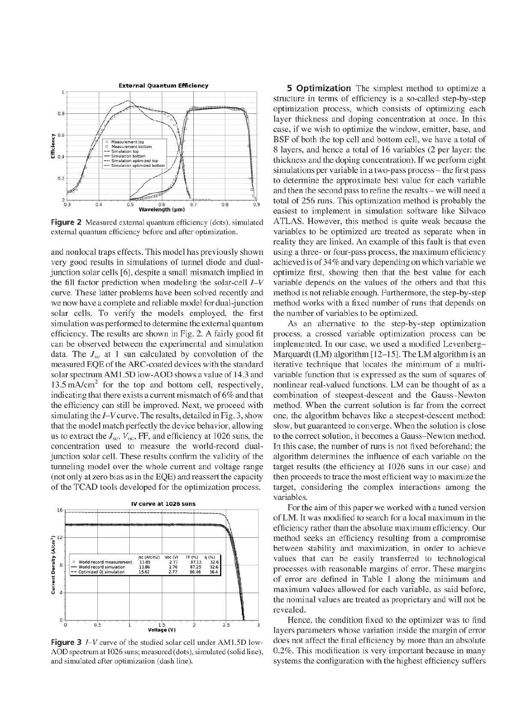

Figure 2 Measured external quantum efficiency (dots), simulated external quantum efficiency before and after optimization.

and nonlocal traps effects. This model has previously shown very good results in simulations of tunnel diode and dualjunction solar cells [6], despite a small mismatch implied in the fill factor prediction when modeling the solar-cell *I-V*  curve. These latter problems have been solved recently and we now have a complete and reliable model for dual-junction solar cells. To verify the models employed, the first simulation was performed to determine the external quantum efficiency. The results are shown in Fig. 2. A fairly good fit can be observed between the experimental and simulation data. The  $J_{\rm sc}$  at 1 sun calculated by convolution of the measured EQE of the ARC-coated devices with the standard solar spectrum AM1.5D low-AOD shows a value of 14.3 and  $13.5 \text{ mA/cm}^2$  for the top and bottom cell, respectively, indicating that there exists a current mismatch of 6% and that the efficiency can still be improved. Next, we proceed with simulating the *I-V* curve. The results, detailed in Fig. 3, show that the model match perfectly the device behavior, allowing us to extract the *Jsc, Voc,* FF, and efficiency at 1026 suns, the concentration used to measure the world-record dualjunction solar cell. These results confirm the validity of the tunneling model over the whole current and voltage range (not only at zero bias as in the EQE) and reassert the capacity of the TCAD tools developed for the optimization process.



Figure 3 *I-V* curve of the studied solar cell under AM1.5D low-AOD spectrum at 1026 suns; measured (dots), simulated (solid line), and simulated after optimization (dash line).

5 Optimization The simplest method to optimize a structure in terms of efficiency is a so-called step-by-step optimization process, which consists of optimizing each layer thickness and doping concentration at once. In this case, if we wish to optimize the window, emitter, base, and BSF of both the top cell and bottom cell, we have a total of 8 layers, and henee a total of 16 variables (2 per layer: the thickness and the doping concentration). If we perform eight simulations per variable in a two-pass process - the first pass to determine the approximate best valué for each variable and then the second pass to refine the results - we will need a total of 256 runs. This optimization method is probably the easiest to implement in simulation software like Silvaco ATLAS. However, this method is quite weak because the variables to be optimized are treated as separate when in reality they are linked. An example of this fault is that even using a three- or four-pass process, the maximum efficiency achieved is of 34% and vary depending on which variable we optimize first, showing then that the best valué for each variable depends on the values of the others and that this method is not reliable enough. Furthermore, the step-by-step method works with a fixed number of runs that depends on the number of variables to be optimized.

As an alternative to the step-by-step optimization process, a crossed variable optimization process can be implemented. In our case, we used a modified Levenberg-Marquardt (LM) algorithm [12-15]. The LM algorithm is an iterative technique that locates the minimum of a multivariable function that is expressed as the sum of squares of nonlinear real-valued functions. LM can be thought of as a combination of steepest-descent and the Gauss-Newton method. When the current solution is far from the correct one, the algorithm behaves like a steepest-descent method: slow, but guaranteed to converge. When the solution is close to the correct solution, it becomes a Gauss-Newton method. In this case, the number of runs is not fixed beforehand; the algorithm determines the influence of each variable on the target results (the efficiency at 1026 suns in our case) and then proceeds to trace the most efficient way to maximize the target, considering the complex interactions among the variables.

For the aim of this paper we worked with a tuned version of LM. It was modified to search for a local máximum in the efficiency rather than the absolute maximum efficiency. Our method seeks an efficiency resulting from a compromise between stability and maximization, in order to achieve values that can be easily transferred to technological processes with reasonable margins of error. These margins of error are defined in Table 1 along the minimum and maximum values allowed for each variable, as said before, the nominal valúes are treated as proprietary and will not be revealed.

Hence, the condition fixed to the optimizer was to find layers parameters whose variation inside the margin of error does not affect the final efficiency by more than an absolute 0.2%. This modification is very important because in many systems the configuration with the highest efficiency suffers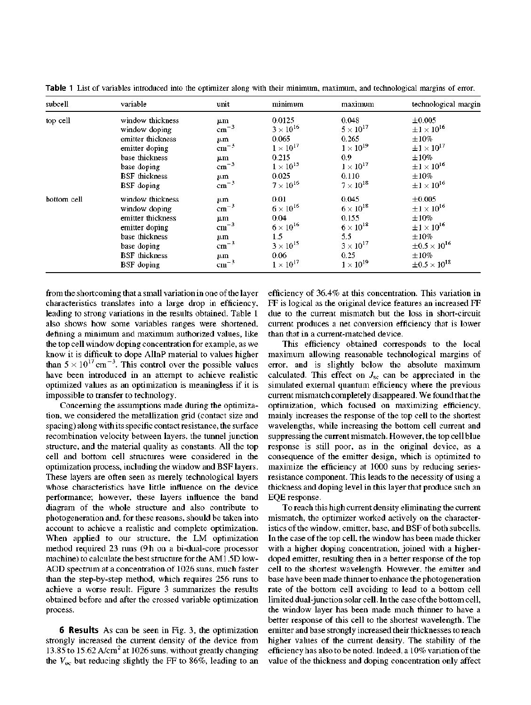| subcell     | variable             | unit             | minimum            | maximum          | technological margin     |
|-------------|----------------------|------------------|--------------------|------------------|--------------------------|
| top cell    | window thickness     | μm               | 0.0125             | 0.048            | $\pm 0.005$              |
|             | window doping        | $\rm cm^{-3}$    | $3\times10^{16}$   | $5\times10^{17}$ | $\pm 1 \times 10^{16}$   |
|             | emitter thickness    | $\mu$ m          | 0.065              | 0.265            | $\pm 10\%$               |
|             | emitter doping       | $\rm cm^{-3}$    | $1\times10^{17}$   | $1\times10^{19}$ | $\pm 1 \times 10^{17}$   |
|             | base thickness       | $\mu$ m          | 0.215              | 0.9 <sub>2</sub> | $\pm 10\%$               |
|             | base doping          | $\rm cm^{-3}$    | $1\times10^{15}$   | $1\times10^{17}$ | $\pm 1 \times 10^{16}$   |
|             | <b>BSF</b> thickness | $\mu$ m          | 0.025              | 0.110            | $\pm 10\%$               |
|             | <b>BSF</b> doping    | $cm^{-3}$        | $7\times10^{16}$   | $7\times10^{18}$ | $\pm1\times10^{16}$      |
| bottom cell | window thickness     | $\mu$ m          | 0.01               | 0.045            | $\pm 0.005$              |
|             | window doping        | $\rm cm^{-3}$    | $6\times10^{16}$   | $6\times10^{18}$ | $\pm1\times10^{16}$      |
|             | emitter thickness    | μm               | 0.04               | 0.155            | $\pm 10\%$               |
|             | emitter doping       | $\text{cm}^{-3}$ | $6\times10^{16}$   | $6\times10^{18}$ | $\pm1\times10^{16}$      |
|             | base thickness       | $\mu$ m          | $1.5\,$            | 5.5              | $\pm 10\%$               |
|             | base doping          | $cm^{-3}$        | $3\times10^{15}$   | $3\times10^{17}$ | $\pm 0.5 \times 10^{16}$ |
|             | <b>BSF</b> thickness | $\mu$ m          | 0.06               | 0.25             | $\pm 10\%$               |
|             | <b>BSF</b> doping    | $\rm cm^{-3}$    | $1 \times 10^{17}$ | $1\times10^{19}$ | $\pm 0.5 \times 10^{18}$ |

**Table 1** List of variables introduced into the optimizer along with their minimum, maximum, and technological margins of error.

from the shortcoming that a small variation in one of the layer characteristics translates into a large drop in efficiency, leading to strong variations in the results obtained. Table 1 also shows how some variables ranges were shortened, defining a minimum and maximum authorized values, like the top cell window doping concentration for example, as we know it is difficult to dope AllnP material to values higher than  $5 \times 10^{17}$  cm<sup>-3</sup>. This control over the possible values have been introduced in an attempt to achieve realistic optimized valúes as an optimization is meaningless if it is impossible to transfer to technology.

Concerning the assumptions made during the optimization, we considered the metallization grid (contact size and spacing) along with its specific contact resistance, the surface recombination velocity between layers, the tunnel junction structure, and the material quality as constants. All the top cell and bottom cell structures were considered in the optimization process, including the window and BSF layers. These layers are often seen as merely technological layers whose characteristics have little influence on the device performance; however, these layers influence the band diagram of the whole structure and also contribute to photogeneration and, for these reasons, should be taken into account to achieve a realistic and complete optimization. When applied to our structure, the LM optimization method required 23 runs (9h on a bi-dual-core processor machine) to calcúlate the best structure for the AM1.5D low-AOD spectrum at a concentration of 1026 suns, much faster than the step-by-step method, which requires 256 runs to achieve a worse result. Figure 3 summarizes the results obtained before and after the crossed variable optimization process.

**6 Results** As can be seen in Fig. 3, the optimization strongly increased the current density of the device from 13.85 to 15.62 A/cm<sup>2</sup> at 1026 suns, without greatly changing the  $V_{\infty}$  but reducing slightly the FF to 86%, leading to an

efficiency of 36.4% at this concentration. This variation in FF is logical as the original device features an increased FF due to the current mismatch but the loss in short-circuit current produces a net conversión efficiency that is lower than that in a current-matched device.

This efficiency obtained corresponds to the local maximum allowing reasonable technological margins of error, and is slightly below the absolute maximum calculated. This effect on  $J_{\rm sc}$  can be appreciated in the simulated external quantum efficiency where the previous current mismatch completely disappeared. We found that the optimization, which focused on maximizing efficiency, mainly increases the response of the top cell to the shortest wavelengths, while increasing the bottom cell current and suppressing the current mismatch. However, the top cell blue response is still poor, as in the original device, as a consequence of the emitter design, which is optimized to maximize the efficiency at 1000 suns by reducing seriesresistance component. This leads to the necessity of using a thickness and doping level in this layer that produce such an EQE response.

To reach this high current density eliminating the current mismatch, the optimizer worked actively on the characteristics of the window, emitter, base, and BSF of both subcells. In the case of the top cell, the window has been made thicker with a higher doping concentration, joined with a higherdoped emitter, resulting then in a better response of the top cell to the shortest wavelength. However, the emitter and base have been made thinner to enhance the photogeneration rate of the bottom cell avoiding to lead to a bottom cell limited dual-junction solar cell. In the case of the bottom cell, the window layer has been made much thinner to have a better response of this cell to the shortest wavelength. The emitter and base strongly increased their thicknesses to reach higher values of the current density. The stability of the efficiency has also to be noted. Indeed, a 10% variation of the valué of the thickness and doping concentration only affect